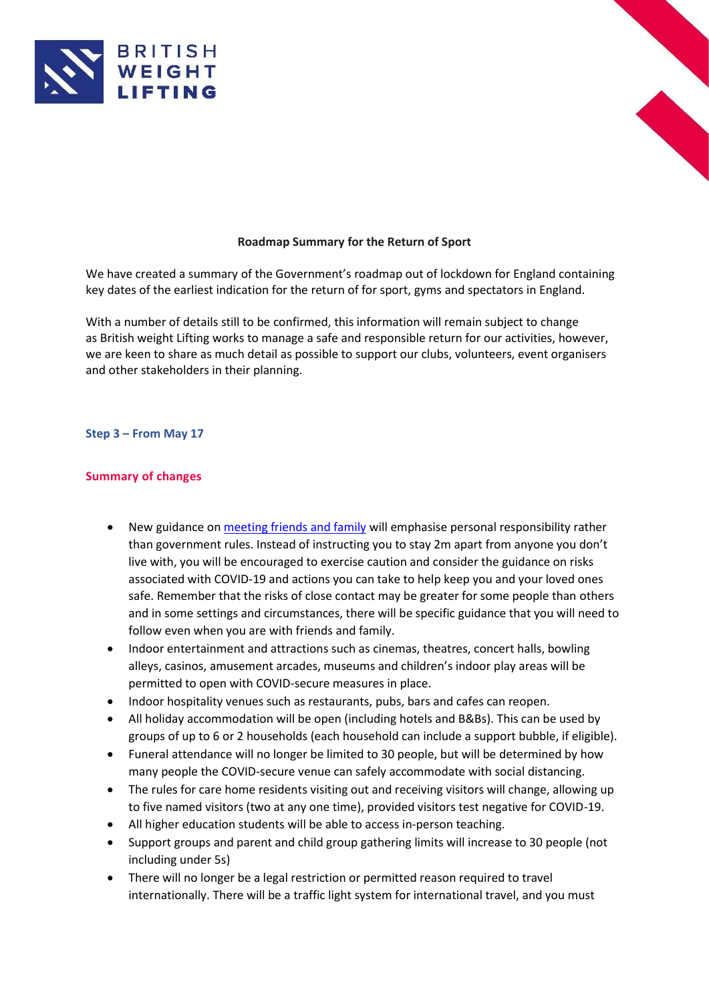



## **Roadmap Summary for the Return of Sport**

We have created a summary of the Government's roadmap out of lockdown for England containing key dates of the earliest indication for the return of for sport, gyms and spectators in England.

With a number of details still to be confirmed, this information will remain subject to change as British weight Lifting works to manage a safe and responsible return for our activities, however, we are keen to share as much detail as possible to support our clubs, volunteers, event organisers and other stakeholders in their planning.

## **Step 3 – From May 17**

## **Summary of changes**

- New guidance on [meeting friends and family](https://www.gov.uk/guidance/meeting-friends-and-family-covid-19) will emphasise personal responsibility rather than government rules. Instead of instructing you to stay 2m apart from anyone you don't live with, you will be encouraged to exercise caution and consider the guidance on risks associated with COVID-19 and actions you can take to help keep you and your loved ones safe. Remember that the risks of close contact may be greater for some people than others and in some settings and circumstances, there will be specific guidance that you will need to follow even when you are with friends and family.
- Indoor entertainment and attractions such as cinemas, theatres, concert halls, bowling alleys, casinos, amusement arcades, museums and children's indoor play areas will be permitted to open with COVID-secure measures in place.
- Indoor hospitality venues such as restaurants, pubs, bars and cafes can reopen.
- All holiday accommodation will be open (including hotels and B&Bs). This can be used by groups of up to 6 or 2 households (each household can include a support bubble, if eligible).
- Funeral attendance will no longer be limited to 30 people, but will be determined by how many people the COVID-secure venue can safely accommodate with social distancing.
- The rules for care home residents visiting out and receiving visitors will change, allowing up to five named visitors (two at any one time), provided visitors test negative for COVID-19.
- All higher education students will be able to access in-person teaching.
- Support groups and parent and child group gathering limits will increase to 30 people (not including under 5s)
- There will no longer be a legal restriction or permitted reason required to travel internationally. There will be a traffic light system for international travel, and you must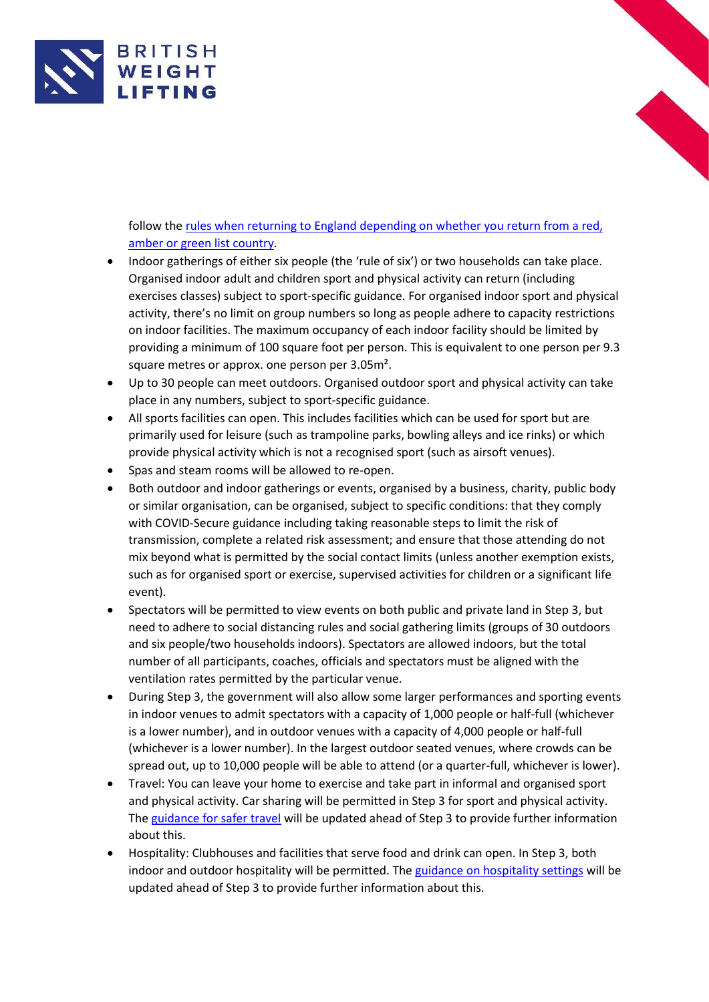

follow the [rules when returning to England depending on whether you return from a red,](https://www.gov.uk/guidance/red-amber-and-green-list-rules-for-entering-england)  [amber or green list country.](https://www.gov.uk/guidance/red-amber-and-green-list-rules-for-entering-england)

- Indoor gatherings of either six people (the 'rule of six') or two households can take place. Organised indoor adult and children sport and physical activity can return (including exercises classes) subject to sport-specific guidance. For organised indoor sport and physical activity, there's no limit on group numbers so long as people adhere to capacity restrictions on indoor facilities. The maximum occupancy of each indoor facility should be limited by providing a minimum of 100 square foot per person. This is equivalent to one person per 9.3 square metres or approx. one person per 3.05m².
- Up to 30 people can meet outdoors. Organised outdoor sport and physical activity can take place in any numbers, subject to sport-specific guidance.
- All sports facilities can open. This includes facilities which can be used for sport but are primarily used for leisure (such as trampoline parks, bowling alleys and ice rinks) or which provide physical activity which is not a recognised sport (such as airsoft venues).
- Spas and steam rooms will be allowed to re-open.
- Both outdoor and indoor gatherings or events, organised by a business, charity, public body or similar organisation, can be organised, subject to specific conditions: that they comply with COVID-Secure guidance including taking reasonable steps to limit the risk of transmission, complete a related risk assessment; and ensure that those attending do not mix beyond what is permitted by the social contact limits (unless another exemption exists, such as for organised sport or exercise, supervised activities for children or a significant life event).
- Spectators will be permitted to view events on both public and private land in Step 3, but need to adhere to social distancing rules and social gathering limits (groups of 30 outdoors and six people/two households indoors). Spectators are allowed indoors, but the total number of all participants, coaches, officials and spectators must be aligned with the ventilation rates permitted by the particular venue.
- During Step 3, the government will also allow some larger performances and sporting events in indoor venues to admit spectators with a capacity of 1,000 people or half-full (whichever is a lower number), and in outdoor venues with a capacity of 4,000 people or half-full (whichever is a lower number). In the largest outdoor seated venues, where crowds can be spread out, up to 10,000 people will be able to attend (or a quarter-full, whichever is lower).
- Travel: You can leave your home to exercise and take part in informal and organised sport and physical activity. Car sharing will be permitted in Step 3 for sport and physical activity. The [guidance for safer travel](https://www.gov.uk/guidance/coronavirus-covid-19-safer-travel-guidance-for-passengers) will be updated ahead of Step 3 to provide further information about this.
- Hospitality: Clubhouses and facilities that serve food and drink can open. In Step 3, both indoor and outdoor hospitality will be permitted. The [guidance on hospitality settings](https://www.gov.uk/guidance/working-safely-during-coronavirus-covid-19/restaurants-offering-takeaway-or-delivery) will be updated ahead of Step 3 to provide further information about this.